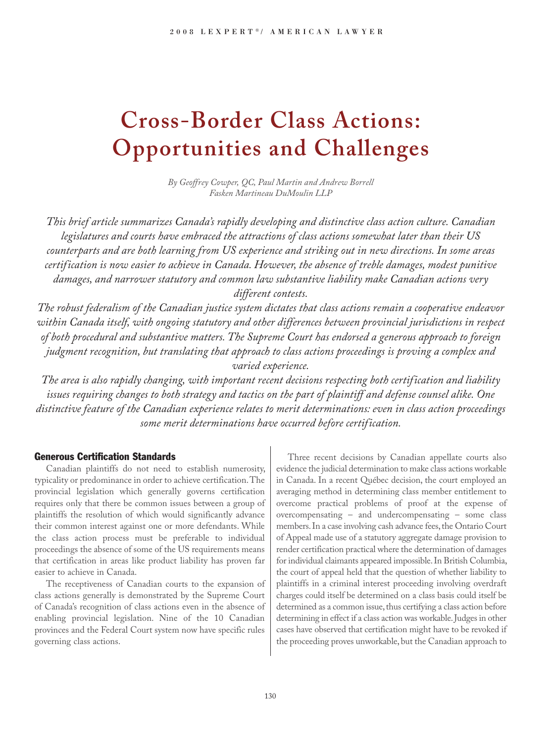# **Cross-Border Class Actions: Opportunities and Challenges**

*By Geoffrey Cowper, QC, Paul Martin and Andrew Borrell Fasken Martineau DuMoulin LLP*

*This brief article summarizes Canada's rapidly developing and distinctive class action culture. Canadian legislatures and courts have embraced the attractions of class actions somewhat later than their US counterparts and are both learning from US experience and striking out in new directions. In some areas certification is now easier to achieve in Canada. However, the absence of treble damages, modest punitive damages, and narrower statutory and common law substantive liability make Canadian actions very different contests.*

*The robust federalism of the Canadian justice system dictates that class actions remain a cooperative endeavor within Canada itself, with ongoing statutory and other differences between provincial jurisdictions in respect of both procedural and substantive matters. The Supreme Court has endorsed a generous approach to foreign judgment recognition, but translating that approach to class actions proceedings is proving a complex and varied experience.*

*The area is also rapidly changing, with important recent decisions respecting both certification and liability issues requiring changes to both strategy and tactics on the part of plaintiff and defense counsel alike. One distinctive feature of the Canadian experience relates to merit determinations: even in class action proceedings some merit determinations have occurred before certification.*

# **Generous Certification Standards**

Canadian plaintiffs do not need to establish numerosity, typicality or predominance in order to achieve certification.The provincial legislation which generally governs certification requires only that there be common issues between a group of plaintiffs the resolution of which would significantly advance their common interest against one or more defendants. While the class action process must be preferable to individual proceedings the absence of some of the US requirements means that certification in areas like product liability has proven far easier to achieve in Canada.

The receptiveness of Canadian courts to the expansion of class actions generally is demonstrated by the Supreme Court of Canada's recognition of class actions even in the absence of enabling provincial legislation. Nine of the 10 Canadian provinces and the Federal Court system now have specific rules governing class actions.

Three recent decisions by Canadian appellate courts also evidence the judicial determination to make class actions workable in Canada. In a recent Québec decision, the court employed an averaging method in determining class member entitlement to overcome practical problems of proof at the expense of overcompensating – and undercompensating – some class members. In a case involving cash advance fees, the Ontario Court of Appeal made use of a statutory aggregate damage provision to render certification practical where the determination of damages for individual claimants appeared impossible.In British Columbia, the court of appeal held that the question of whether liability to plaintiffs in a criminal interest proceeding involving overdraft charges could itself be determined on a class basis could itself be determined as a common issue, thus certifying a class action before determining in effect if a class action was workable.Judges in other cases have observed that certification might have to be revoked if the proceeding proves unworkable, but the Canadian approach to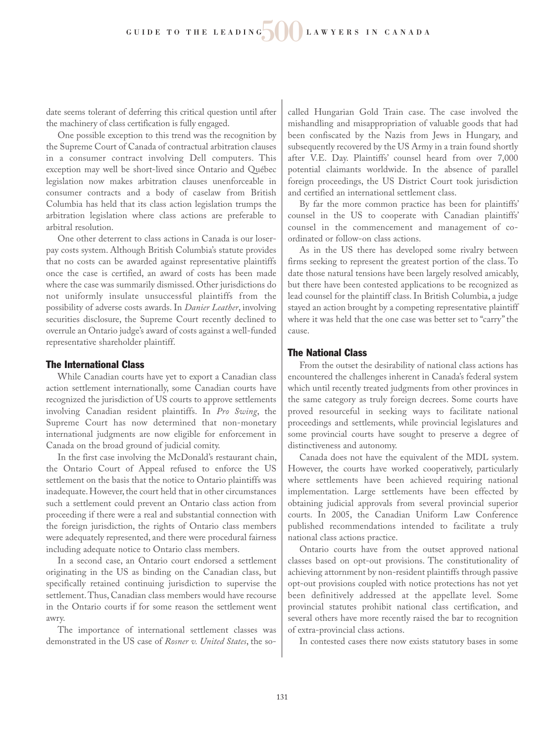date seems tolerant of deferring this critical question until after the machinery of class certification is fully engaged.

One possible exception to this trend was the recognition by the Supreme Court of Canada of contractual arbitration clauses in a consumer contract involving Dell computers. This exception may well be short-lived since Ontario and Québec legislation now makes arbitration clauses unenforceable in consumer contracts and a body of caselaw from British Columbia has held that its class action legislation trumps the arbitration legislation where class actions are preferable to arbitral resolution.

One other deterrent to class actions in Canada is our loserpay costs system. Although British Columbia's statute provides that no costs can be awarded against representative plaintiffs once the case is certified, an award of costs has been made where the case was summarily dismissed. Other jurisdictions do not uniformly insulate unsuccessful plaintiffs from the possibility of adverse costs awards. In *Danier Leather*, involving securities disclosure, the Supreme Court recently declined to overrule an Ontario judge's award of costs against a well-funded representative shareholder plaintiff.

## **The International Class**

While Canadian courts have yet to export a Canadian class action settlement internationally, some Canadian courts have recognized the jurisdiction of US courts to approve settlements involving Canadian resident plaintiffs. In *Pro Swing*, the Supreme Court has now determined that non-monetary international judgments are now eligible for enforcement in Canada on the broad ground of judicial comity.

In the first case involving the McDonald's restaurant chain, the Ontario Court of Appeal refused to enforce the US settlement on the basis that the notice to Ontario plaintiffs was inadequate. However, the court held that in other circumstances such a settlement could prevent an Ontario class action from proceeding if there were a real and substantial connection with the foreign jurisdiction, the rights of Ontario class members were adequately represented, and there were procedural fairness including adequate notice to Ontario class members.

In a second case, an Ontario court endorsed a settlement originating in the US as binding on the Canadian class, but specifically retained continuing jurisdiction to supervise the settlement. Thus, Canadian class members would have recourse in the Ontario courts if for some reason the settlement went awry.

The importance of international settlement classes was demonstrated in the US case of *Rosner v. United States*, the socalled Hungarian Gold Train case. The case involved the mishandling and misappropriation of valuable goods that had been confiscated by the Nazis from Jews in Hungary, and subsequently recovered by the US Army in a train found shortly after V.E. Day. Plaintiffs' counsel heard from over 7,000 potential claimants worldwide. In the absence of parallel foreign proceedings, the US District Court took jurisdiction and certified an international settlement class.

By far the more common practice has been for plaintiffs' counsel in the US to cooperate with Canadian plaintiffs' counsel in the commencement and management of coordinated or follow-on class actions.

As in the US there has developed some rivalry between firms seeking to represent the greatest portion of the class. To date those natural tensions have been largely resolved amicably, but there have been contested applications to be recognized as lead counsel for the plaintiff class. In British Columbia, a judge stayed an action brought by a competing representative plaintiff where it was held that the one case was better set to "carry" the cause.

## **The National Class**

From the outset the desirability of national class actions has encountered the challenges inherent in Canada's federal system which until recently treated judgments from other provinces in the same category as truly foreign decrees. Some courts have proved resourceful in seeking ways to facilitate national proceedings and settlements, while provincial legislatures and some provincial courts have sought to preserve a degree of distinctiveness and autonomy.

Canada does not have the equivalent of the MDL system. However, the courts have worked cooperatively, particularly where settlements have been achieved requiring national implementation. Large settlements have been effected by obtaining judicial approvals from several provincial superior courts. In 2005, the Canadian Uniform Law Conference published recommendations intended to facilitate a truly national class actions practice.

Ontario courts have from the outset approved national classes based on opt-out provisions. The constitutionality of achieving attornment by non-resident plaintiffs through passive opt-out provisions coupled with notice protections has not yet been definitively addressed at the appellate level. Some provincial statutes prohibit national class certification, and several others have more recently raised the bar to recognition of extra-provincial class actions.

In contested cases there now exists statutory bases in some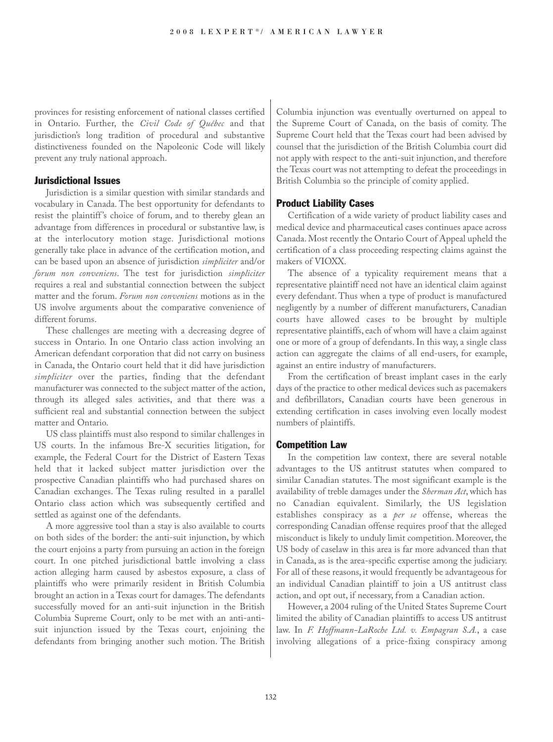provinces for resisting enforcement of national classes certified in Ontario. Further, the *Civil Code of Québec* and that jurisdiction's long tradition of procedural and substantive distinctiveness founded on the Napoleonic Code will likely prevent any truly national approach.

## **Jurisdictional Issues**

Jurisdiction is a similar question with similar standards and vocabulary in Canada. The best opportunity for defendants to resist the plaintiff's choice of forum, and to thereby glean an advantage from differences in procedural or substantive law, is at the interlocutory motion stage. Jurisdictional motions generally take place in advance of the certification motion, and can be based upon an absence of jurisdiction *simpliciter* and/or *forum non conveniens*. The test for jurisdiction *simpliciter* requires a real and substantial connection between the subject matter and the forum. *Forum non conveniens* motions as in the US involve arguments about the comparative convenience of different forums.

These challenges are meeting with a decreasing degree of success in Ontario. In one Ontario class action involving an American defendant corporation that did not carry on business in Canada, the Ontario court held that it did have jurisdiction *simpliciter* over the parties, finding that the defendant manufacturer was connected to the subject matter of the action, through its alleged sales activities, and that there was a sufficient real and substantial connection between the subject matter and Ontario.

US class plaintiffs must also respond to similar challenges in US courts. In the infamous Bre-X securities litigation, for example, the Federal Court for the District of Eastern Texas held that it lacked subject matter jurisdiction over the prospective Canadian plaintiffs who had purchased shares on Canadian exchanges. The Texas ruling resulted in a parallel Ontario class action which was subsequently certified and settled as against one of the defendants.

A more aggressive tool than a stay is also available to courts on both sides of the border: the anti-suit injunction, by which the court enjoins a party from pursuing an action in the foreign court. In one pitched jurisdictional battle involving a class action alleging harm caused by asbestos exposure, a class of plaintiffs who were primarily resident in British Columbia brought an action in a Texas court for damages.The defendants successfully moved for an anti-suit injunction in the British Columbia Supreme Court, only to be met with an anti-antisuit injunction issued by the Texas court, enjoining the defendants from bringing another such motion. The British Columbia injunction was eventually overturned on appeal to the Supreme Court of Canada, on the basis of comity. The Supreme Court held that the Texas court had been advised by counsel that the jurisdiction of the British Columbia court did not apply with respect to the anti-suit injunction, and therefore the Texas court was not attempting to defeat the proceedings in British Columbia so the principle of comity applied.

## **Product Liability Cases**

Certification of a wide variety of product liability cases and medical device and pharmaceutical cases continues apace across Canada. Most recently the Ontario Court of Appeal upheld the certification of a class proceeding respecting claims against the makers of VIOXX.

The absence of a typicality requirement means that a representative plaintiff need not have an identical claim against every defendant. Thus when a type of product is manufactured negligently by a number of different manufacturers, Canadian courts have allowed cases to be brought by multiple representative plaintiffs, each of whom will have a claim against one or more of a group of defendants. In this way, a single class action can aggregate the claims of all end-users, for example, against an entire industry of manufacturers.

From the certification of breast implant cases in the early days of the practice to other medical devices such as pacemakers and defibrillators, Canadian courts have been generous in extending certification in cases involving even locally modest numbers of plaintiffs.

#### **Competition Law**

In the competition law context, there are several notable advantages to the US antitrust statutes when compared to similar Canadian statutes. The most significant example is the availability of treble damages under the *Sherman Act*, which has no Canadian equivalent. Similarly, the US legislation establishes conspiracy as a *per se* offense, whereas the corresponding Canadian offense requires proof that the alleged misconduct is likely to unduly limit competition. Moreover, the US body of caselaw in this area is far more advanced than that in Canada, as is the area-specific expertise among the judiciary. For all of these reasons, it would frequently be advantageous for an individual Canadian plaintiff to join a US antitrust class action, and opt out, if necessary, from a Canadian action.

However, a 2004 ruling of the United States Supreme Court limited the ability of Canadian plaintiffs to access US antitrust law. In *F. Hoffmann-LaRoche Ltd. v. Empagran S.A.*, a case involving allegations of a price-fixing conspiracy among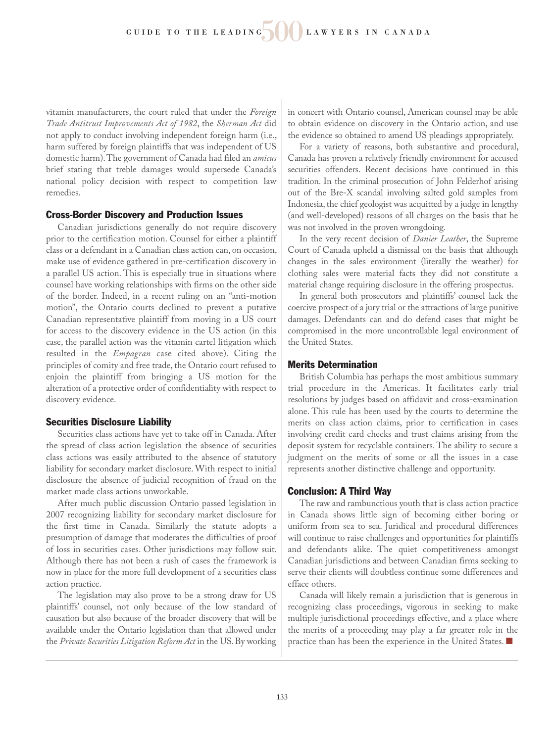vitamin manufacturers, the court ruled that under the *Foreign Trade Antitrust Improvements Act of 1982*, the *Sherman Act* did not apply to conduct involving independent foreign harm (i.e., harm suffered by foreign plaintiffs that was independent of US domestic harm).The government of Canada had filed an *amicus* brief stating that treble damages would supersede Canada's national policy decision with respect to competition law remedies.

## **Cross-Border Discovery and Production Issues**

Canadian jurisdictions generally do not require discovery prior to the certification motion. Counsel for either a plaintiff class or a defendant in a Canadian class action can, on occasion, make use of evidence gathered in pre-certification discovery in a parallel US action. This is especially true in situations where counsel have working relationships with firms on the other side of the border. Indeed, in a recent ruling on an "anti-motion motion", the Ontario courts declined to prevent a putative Canadian representative plaintiff from moving in a US court for access to the discovery evidence in the US action (in this case, the parallel action was the vitamin cartel litigation which resulted in the *Empagran* case cited above). Citing the principles of comity and free trade, the Ontario court refused to enjoin the plaintiff from bringing a US motion for the alteration of a protective order of confidentiality with respect to discovery evidence.

## **Securities Disclosure Liability**

Securities class actions have yet to take off in Canada. After the spread of class action legislation the absence of securities class actions was easily attributed to the absence of statutory liability for secondary market disclosure. With respect to initial disclosure the absence of judicial recognition of fraud on the market made class actions unworkable.

After much public discussion Ontario passed legislation in 2007 recognizing liability for secondary market disclosure for the first time in Canada. Similarly the statute adopts a presumption of damage that moderates the difficulties of proof of loss in securities cases. Other jurisdictions may follow suit. Although there has not been a rush of cases the framework is now in place for the more full development of a securities class action practice.

The legislation may also prove to be a strong draw for US plaintiffs' counsel, not only because of the low standard of causation but also because of the broader discovery that will be available under the Ontario legislation than that allowed under the *Private Securities Litigation Reform Act* in the US. By working

in concert with Ontario counsel, American counsel may be able to obtain evidence on discovery in the Ontario action, and use the evidence so obtained to amend US pleadings appropriately.

For a variety of reasons, both substantive and procedural, Canada has proven a relatively friendly environment for accused securities offenders. Recent decisions have continued in this tradition. In the criminal prosecution of John Felderhof arising out of the Bre-X scandal involving salted gold samples from Indonesia, the chief geologist was acquitted by a judge in lengthy (and well-developed) reasons of all charges on the basis that he was not involved in the proven wrongdoing.

In the very recent decision of *Danier Leather*, the Supreme Court of Canada upheld a dismissal on the basis that although changes in the sales environment (literally the weather) for clothing sales were material facts they did not constitute a material change requiring disclosure in the offering prospectus.

In general both prosecutors and plaintiffs' counsel lack the coercive prospect of a jury trial or the attractions of large punitive damages. Defendants can and do defend cases that might be compromised in the more uncontrollable legal environment of the United States.

# **Merits Determination**

British Columbia has perhaps the most ambitious summary trial procedure in the Americas. It facilitates early trial resolutions by judges based on affidavit and cross-examination alone. This rule has been used by the courts to determine the merits on class action claims, prior to certification in cases involving credit card checks and trust claims arising from the deposit system for recyclable containers. The ability to secure a judgment on the merits of some or all the issues in a case represents another distinctive challenge and opportunity.

# **Conclusion: A Third Way**

The raw and rambunctious youth that is class action practice in Canada shows little sign of becoming either boring or uniform from sea to sea. Juridical and procedural differences will continue to raise challenges and opportunities for plaintiffs and defendants alike. The quiet competitiveness amongst Canadian jurisdictions and between Canadian firms seeking to serve their clients will doubtless continue some differences and efface others.

Canada will likely remain a jurisdiction that is generous in recognizing class proceedings, vigorous in seeking to make multiple jurisdictional proceedings effective, and a place where the merits of a proceeding may play a far greater role in the practice than has been the experience in the United States. ■